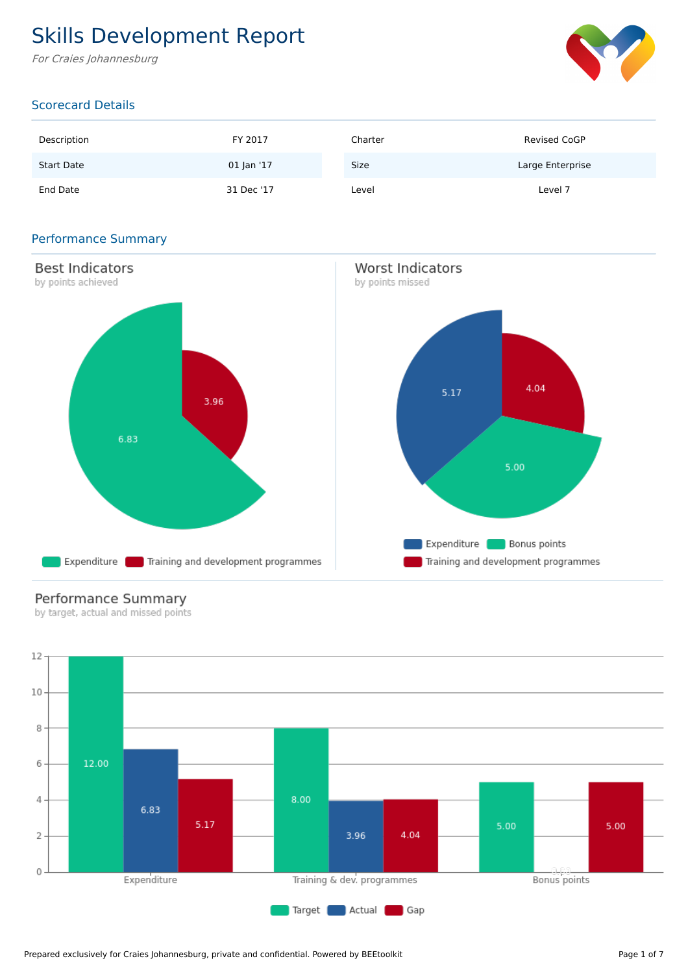# Skills Development Report

For Craies Johannesburg



## Scorecard Details

| Description       | FY 2017    | Charter | <b>Revised CoGP</b> |
|-------------------|------------|---------|---------------------|
| <b>Start Date</b> | 01 Jan '17 | Size    | Large Enterprise    |
| End Date          | 31 Dec '17 | Level   | Level 7             |

### Performance Summary



# Performance Summary

by target, actual and missed points

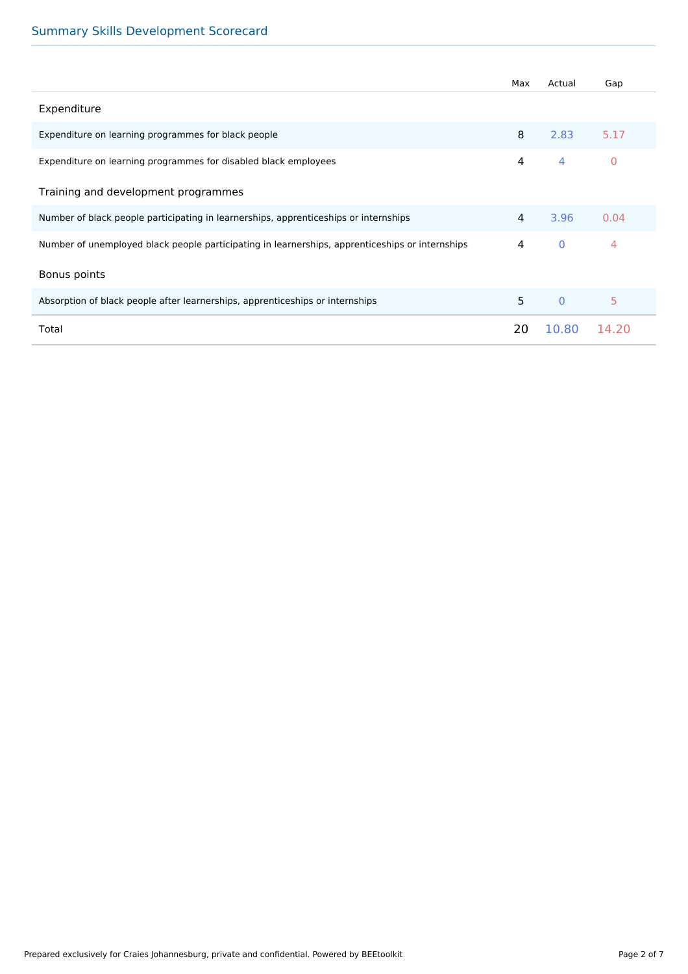# Summary Skills Development Scorecard

|                                                                                                 | Max | Actual       | Gap            |
|-------------------------------------------------------------------------------------------------|-----|--------------|----------------|
| Expenditure                                                                                     |     |              |                |
| Expenditure on learning programmes for black people                                             | 8   | 2.83         | 5.17           |
| Expenditure on learning programmes for disabled black employees                                 | 4   | 4            | $\mathbf{0}$   |
| Training and development programmes                                                             |     |              |                |
| Number of black people participating in learnerships, apprenticeships or internships            | 4   | 3.96         | 0.04           |
| Number of unemployed black people participating in learnerships, apprenticeships or internships | 4   | $\mathbf{0}$ | $\overline{4}$ |
| Bonus points                                                                                    |     |              |                |
| Absorption of black people after learnerships, apprenticeships or internships                   | 5   | $\Omega$     | 5              |
| Total                                                                                           | 20  | 10.80        | 14.20          |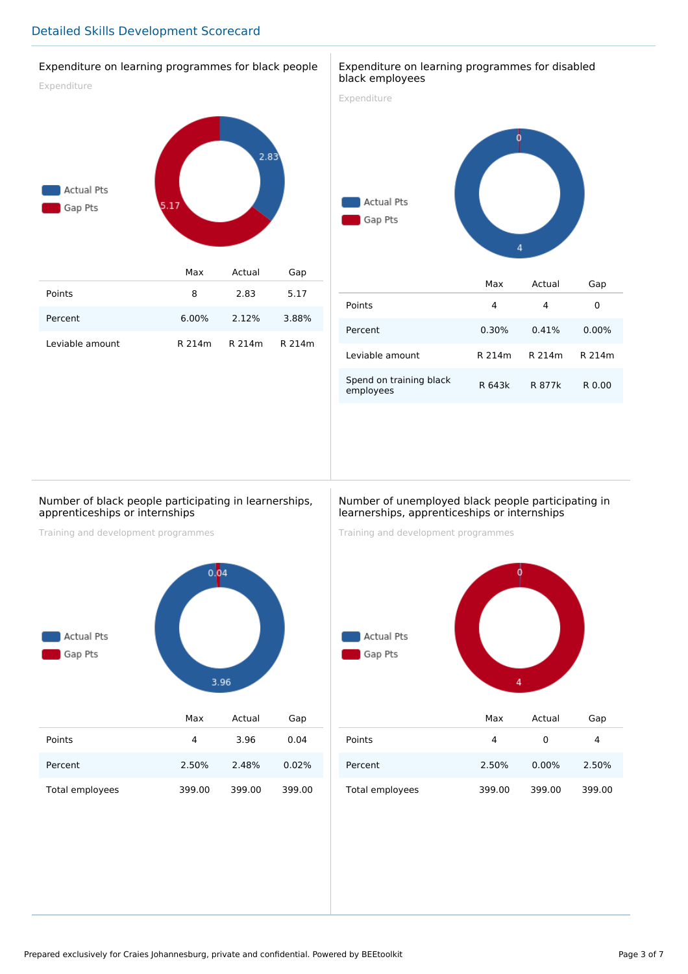#### Expenditure on learning programmes for black people

Expenditure



| Points          |          | 2.83          | 5.17  |
|-----------------|----------|---------------|-------|
| Percent         | $6.00\%$ | 2.12%         | 3.88% |
| Leviable amount | R 214m   | R 214m R 214m |       |

#### Expenditure on learning programmes for disabled black employees

Expenditure



|                                      | Max    | Actual | Gap      |
|--------------------------------------|--------|--------|----------|
| Points                               | 4      | 4      | 0        |
| Percent                              | 0.30%  | 0.41%  | $0.00\%$ |
| Leviable amount                      | R 214m | R 214m | R 214m   |
| Spend on training black<br>employees | R 643k | R 877k | R 0.00   |

#### Number of black people participating in learnerships, apprenticeships or internships

Training and development programmes



#### Number of unemployed black people participating in learnerships, apprenticeships or internships

Training and development programmes



|                 | Max    | Actual   | uap    |
|-----------------|--------|----------|--------|
| Points          | 4      | 0        | 4      |
| Percent         | 2.50%  | $0.00\%$ | 2.50%  |
| Total employees | 399.00 | 399.00   | 399.00 |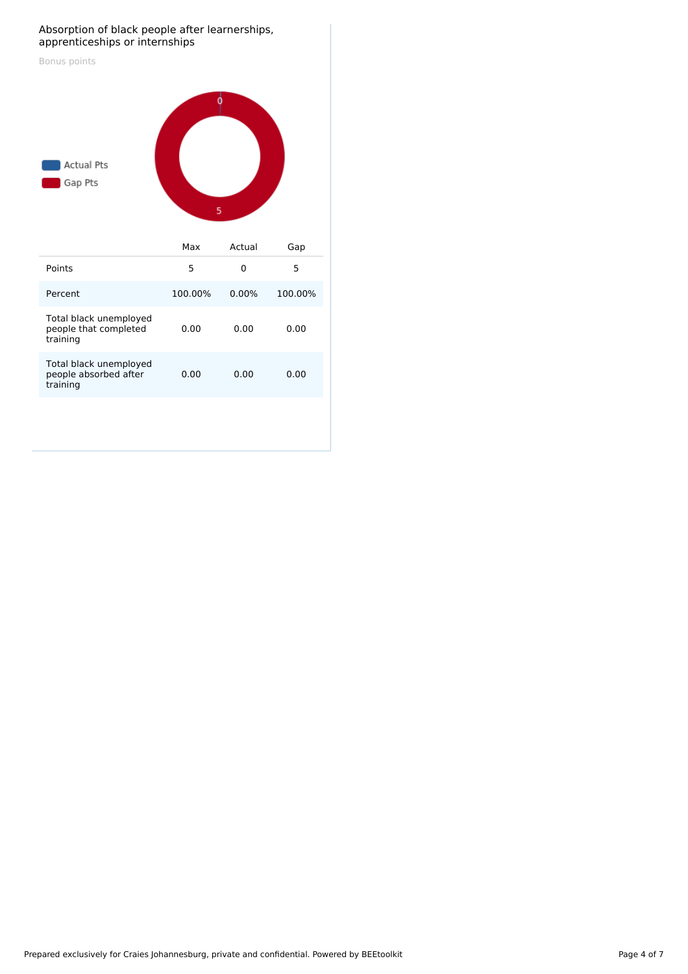#### Absorption of black people after learnerships, apprenticeships or internships

| Bonus points<br><b>Actual Pts</b><br>Gap Pts                | 0<br>5  |             |         |
|-------------------------------------------------------------|---------|-------------|---------|
|                                                             | Max     | Actual      | Gap     |
| Points                                                      | 5       | $\mathbf 0$ | 5       |
| Percent                                                     | 100.00% | 0.00%       | 100.00% |
| Total black unemployed<br>people that completed<br>training | 0.00    | 0.00        | 0.00    |
| Total black unemployed<br>people absorbed after<br>training | 0.00    | 0.00        | 0.00    |
|                                                             |         |             |         |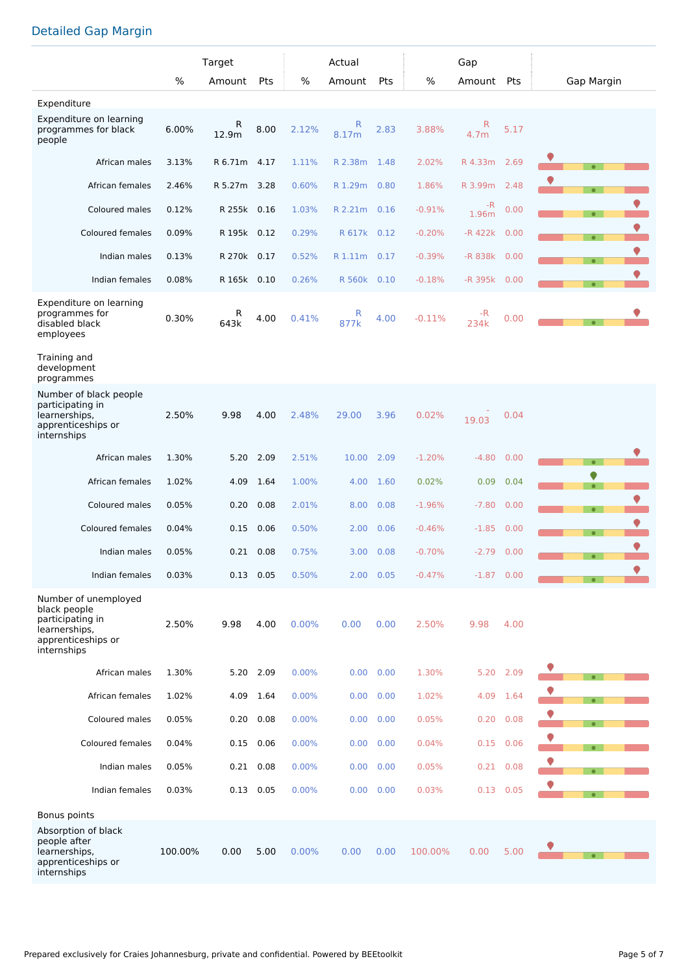# Detailed Gap Margin

|                                                                                                                |         | Target       |             |       | Actual       |           |          | Gap          |             |                |
|----------------------------------------------------------------------------------------------------------------|---------|--------------|-------------|-------|--------------|-----------|----------|--------------|-------------|----------------|
|                                                                                                                | %       | Amount       | Pts         | $\%$  | Amount       | Pts       | $\%$     | Amount Pts   |             | Gap Margin     |
| Expenditure                                                                                                    |         |              |             |       |              |           |          |              |             |                |
| Expenditure on learning<br>programmes for black<br>people                                                      | 6.00%   | R<br>12.9m   | 8.00        | 2.12% | R<br>8.17m   | 2.83      | 3.88%    | R<br>4.7m    | 5.17        |                |
| African males                                                                                                  | 3.13%   | R 6.71m 4.17 |             | 1.11% | R 2.38m      | 1.48      | 2.02%    | R 4.33m      | 2.69        | $\bullet$      |
| African females                                                                                                | 2.46%   | R 5.27m 3.28 |             | 0.60% | R 1.29m 0.80 |           | 1.86%    | R 3.99m      | 2.48        |                |
| Coloured males                                                                                                 | 0.12%   | R 255k       | 0.16        | 1.03% | R 2.21m      | 0.16      | $-0.91%$ | -R<br>1.96m  | 0.00        | $\bullet$      |
| <b>Coloured females</b>                                                                                        | 0.09%   | R 195k 0.12  |             | 0.29% | R 617k       | 0.12      | $-0.20%$ | $-R$ 422 $k$ | 0.00        | $\bullet$      |
| Indian males                                                                                                   | 0.13%   | R 270k 0.17  |             | 0.52% | R 1.11m 0.17 |           | $-0.39%$ | -R 838k      | 0.00        | $\bullet$      |
| Indian females                                                                                                 | 0.08%   | R 165k 0.10  |             | 0.26% | R 560k 0.10  |           | $-0.18%$ | -R 395k      | 0.00        | $\bullet$      |
| Expenditure on learning<br>programmes for<br>disabled black<br>employees                                       | 0.30%   | R<br>643k    | 4.00        | 0.41% | R<br>877k    | 4.00      | $-0.11%$ | $-R$<br>234k | 0.00        |                |
| Training and<br>development<br>programmes                                                                      |         |              |             |       |              |           |          |              |             |                |
| Number of black people<br>participating in<br>learnerships,<br>apprenticeships or<br>internships               | 2.50%   | 9.98         | 4.00        | 2.48% | 29.00        | 3.96      | 0.02%    | 19.03        | 0.04        |                |
| African males                                                                                                  | 1.30%   | 5.20         | 2.09        | 2.51% | 10.00        | 2.09      | $-1.20%$ | $-4.80$      | 0.00        | $\bullet$      |
| African females                                                                                                | 1.02%   | 4.09         | 1.64        | 1.00% | 4.00         | 1.60      | 0.02%    | 0.09         | 0.04        | ♥<br>$\bullet$ |
| Coloured males                                                                                                 | 0.05%   | 0.20         | 0.08        | 2.01% | 8.00         | 0.08      | $-1.96%$ | $-7.80$      | 0.00        | $\bullet$      |
| Coloured females                                                                                               | 0.04%   | 0.15         | 0.06        | 0.50% | 2.00         | 0.06      | $-0.46%$ | $-1.85$      | 0.00        | $\bullet$      |
| Indian males                                                                                                   | 0.05%   | 0.21         | 0.08        | 0.75% | 3.00         | 0.08      | $-0.70%$ | $-2.79$      | 0.00        | $\bullet$      |
| Indian females                                                                                                 | 0.03%   |              | $0.13$ 0.05 | 0.50% |              | 2.00 0.05 | $-0.47%$ | $-1.87$ 0.00 |             | $\bullet$      |
| Number of unemployed<br>black people<br>participating in<br>learnerships,<br>apprenticeships or<br>internships | 2.50%   | 9.98         | 4.00        | 0.00% | 0.00         | 0.00      | 2.50%    | 9.98         | 4.00        |                |
| African males                                                                                                  | 1.30%   |              | 5.20 2.09   | 0.00% | 0.00         | 0.00      | 1.30%    | 5.20         | 2.09        |                |
| African females                                                                                                | 1.02%   | 4.09         | 1.64        | 0.00% | 0.00         | 0.00      | 1.02%    | 4.09         | 1.64        |                |
| Coloured males                                                                                                 | 0.05%   | 0.20         | 0.08        | 0.00% | 0.00         | 0.00      | 0.05%    |              | 0.20 0.08   |                |
| Coloured females                                                                                               | 0.04%   | 0.15         | 0.06        | 0.00% | 0.00         | 0.00      | 0.04%    | 0.15         | 0.06        | $\bullet$      |
| Indian males                                                                                                   | 0.05%   | 0.21         | 0.08        | 0.00% | 0.00         | 0.00      | 0.05%    | 0.21         | 0.08        | $\bullet$      |
| Indian females                                                                                                 | 0.03%   |              | $0.13$ 0.05 | 0.00% | 0.00         | 0.00      | 0.03%    |              | $0.13$ 0.05 |                |
| Bonus points                                                                                                   |         |              |             |       |              |           |          |              |             |                |
| Absorption of black<br>people after<br>learnerships,<br>apprenticeships or<br>internships                      | 100.00% | 0.00         | 5.00        | 0.00% | 0.00         | 0.00      | 100.00%  | 0.00         | 5.00        |                |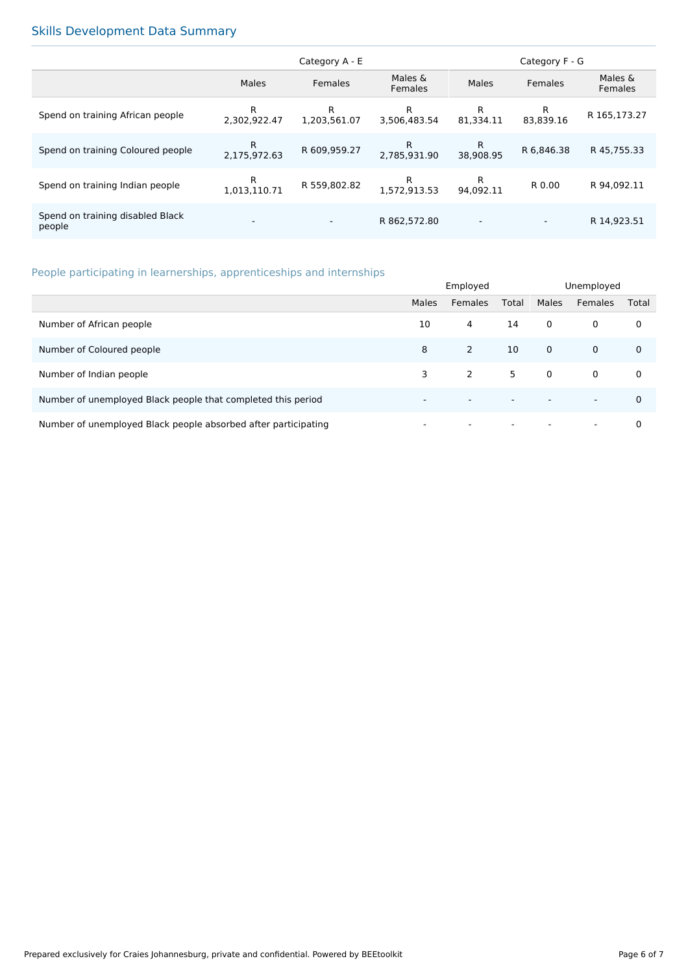# Skills Development Data Summary

|                                            | Category A - E           |                          |                           | Category F - G           |                          |                    |
|--------------------------------------------|--------------------------|--------------------------|---------------------------|--------------------------|--------------------------|--------------------|
|                                            | Males                    | Females                  | Males &<br><b>Females</b> | Males                    | <b>Females</b>           | Males &<br>Females |
| Spend on training African people           | R<br>2.302.922.47        | R<br>1,203,561.07        | R<br>3.506.483.54         | R<br>81.334.11           | R<br>83.839.16           | R 165,173.27       |
| Spend on training Coloured people          | R<br>2.175.972.63        | R 609,959.27             | R.<br>2.785.931.90        | R<br>38.908.95           | R 6,846.38               | R 45,755.33        |
| Spend on training Indian people            | R<br>1.013.110.71        | R 559,802.82             | R<br>1.572.913.53         | R<br>94.092.11           | R 0.00                   | R 94.092.11        |
| Spend on training disabled Black<br>people | $\overline{\phantom{a}}$ | $\overline{\phantom{0}}$ | R 862,572.80              | $\overline{\phantom{a}}$ | $\overline{\phantom{a}}$ | R 14,923.51        |

# People participating in learnerships, apprenticeships and internships

|                                                                | Employed                 |                          |                          | Unemployed  |                          |             |
|----------------------------------------------------------------|--------------------------|--------------------------|--------------------------|-------------|--------------------------|-------------|
|                                                                | Males                    | Females                  | Total                    | Males       | Females                  | Total       |
| Number of African people                                       | 10                       | 4                        | 14                       | $\mathbf 0$ | $\mathbf 0$              | 0           |
| Number of Coloured people                                      | 8                        | 2                        | 10                       | $\mathbf 0$ | $\mathbf 0$              | $\mathbf 0$ |
| Number of Indian people                                        | 3                        | 2                        | 5                        | $\mathbf 0$ | $\mathbf 0$              | 0           |
| Number of unemployed Black people that completed this period   | $\overline{\phantom{0}}$ | $\overline{\phantom{0}}$ | $\overline{\phantom{a}}$ |             | $\overline{\phantom{0}}$ | $\Omega$    |
| Number of unemployed Black people absorbed after participating |                          | $\overline{\phantom{0}}$ | $\overline{\phantom{a}}$ |             | $\overline{\phantom{0}}$ | 0           |